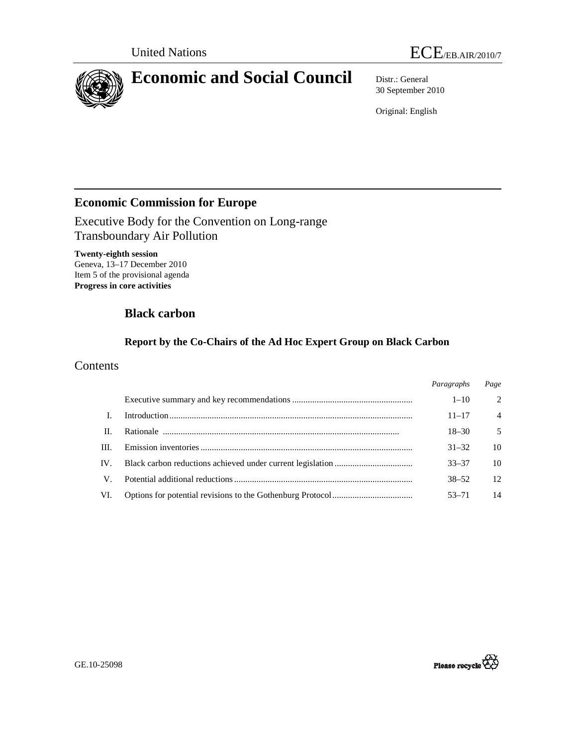

30 September 2010

Original: English

## **Economic Commission for Europe**

Executive Body for the Convention on Long-range Transboundary Air Pollution

**Twenty-eighth session**  Geneva, 13–17 December 2010 Item 5 of the provisional agenda **Progress in core activities** 

# **Black carbon**

## **Report by the Co-Chairs of the Ad Hoc Expert Group on Black Carbon**

## **Contents**

|      | Paragraphs | Page           |
|------|------------|----------------|
|      | $1 - 10$   | $\mathcal{L}$  |
|      | $11 - 17$  | $\overline{4}$ |
| П.   | $18 - 30$  | 5              |
| III. | $31 - 32$  | 10             |
| IV.  | $33 - 37$  | 10             |
| V    | $38 - 52$  | 12             |
| VI.  | $53 - 71$  | 14             |

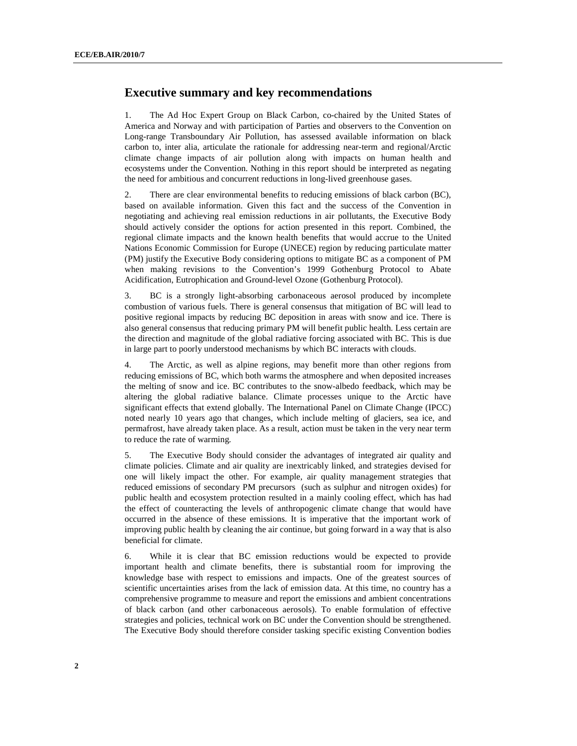### **Executive summary and key recommendations**

1. The Ad Hoc Expert Group on Black Carbon, co-chaired by the United States of America and Norway and with participation of Parties and observers to the Convention on Long-range Transboundary Air Pollution, has assessed available information on black carbon to, inter alia, articulate the rationale for addressing near-term and regional/Arctic climate change impacts of air pollution along with impacts on human health and ecosystems under the Convention. Nothing in this report should be interpreted as negating the need for ambitious and concurrent reductions in long-lived greenhouse gases.

2. There are clear environmental benefits to reducing emissions of black carbon (BC), based on available information. Given this fact and the success of the Convention in negotiating and achieving real emission reductions in air pollutants, the Executive Body should actively consider the options for action presented in this report. Combined, the regional climate impacts and the known health benefits that would accrue to the United Nations Economic Commission for Europe (UNECE) region by reducing particulate matter (PM) justify the Executive Body considering options to mitigate BC as a component of PM when making revisions to the Convention's 1999 Gothenburg Protocol to Abate Acidification, Eutrophication and Ground-level Ozone (Gothenburg Protocol).

3. BC is a strongly light-absorbing carbonaceous aerosol produced by incomplete combustion of various fuels. There is general consensus that mitigation of BC will lead to positive regional impacts by reducing BC deposition in areas with snow and ice. There is also general consensus that reducing primary PM will benefit public health. Less certain are the direction and magnitude of the global radiative forcing associated with BC. This is due in large part to poorly understood mechanisms by which BC interacts with clouds.

4. The Arctic, as well as alpine regions, may benefit more than other regions from reducing emissions of BC, which both warms the atmosphere and when deposited increases the melting of snow and ice. BC contributes to the snow-albedo feedback, which may be altering the global radiative balance. Climate processes unique to the Arctic have significant effects that extend globally. The International Panel on Climate Change (IPCC) noted nearly 10 years ago that changes, which include melting of glaciers, sea ice, and permafrost, have already taken place. As a result, action must be taken in the very near term to reduce the rate of warming.

5. The Executive Body should consider the advantages of integrated air quality and climate policies. Climate and air quality are inextricably linked, and strategies devised for one will likely impact the other. For example, air quality management strategies that reduced emissions of secondary PM precursors (such as sulphur and nitrogen oxides) for public health and ecosystem protection resulted in a mainly cooling effect, which has had the effect of counteracting the levels of anthropogenic climate change that would have occurred in the absence of these emissions. It is imperative that the important work of improving public health by cleaning the air continue, but going forward in a way that is also beneficial for climate.

6. While it is clear that BC emission reductions would be expected to provide important health and climate benefits, there is substantial room for improving the knowledge base with respect to emissions and impacts. One of the greatest sources of scientific uncertainties arises from the lack of emission data. At this time, no country has a comprehensive programme to measure and report the emissions and ambient concentrations of black carbon (and other carbonaceous aerosols). To enable formulation of effective strategies and policies, technical work on BC under the Convention should be strengthened. The Executive Body should therefore consider tasking specific existing Convention bodies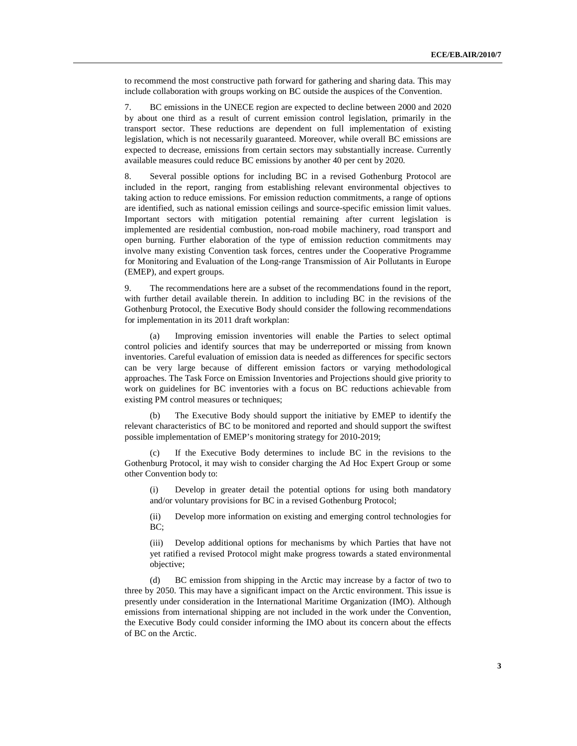to recommend the most constructive path forward for gathering and sharing data. This may include collaboration with groups working on BC outside the auspices of the Convention.

7. BC emissions in the UNECE region are expected to decline between 2000 and 2020 by about one third as a result of current emission control legislation, primarily in the transport sector. These reductions are dependent on full implementation of existing legislation, which is not necessarily guaranteed. Moreover, while overall BC emissions are expected to decrease, emissions from certain sectors may substantially increase. Currently available measures could reduce BC emissions by another 40 per cent by 2020.

8. Several possible options for including BC in a revised Gothenburg Protocol are included in the report, ranging from establishing relevant environmental objectives to taking action to reduce emissions. For emission reduction commitments, a range of options are identified, such as national emission ceilings and source-specific emission limit values. Important sectors with mitigation potential remaining after current legislation is implemented are residential combustion, non-road mobile machinery, road transport and open burning. Further elaboration of the type of emission reduction commitments may involve many existing Convention task forces, centres under the Cooperative Programme for Monitoring and Evaluation of the Long-range Transmission of Air Pollutants in Europe (EMEP), and expert groups.

9. The recommendations here are a subset of the recommendations found in the report, with further detail available therein. In addition to including BC in the revisions of the Gothenburg Protocol, the Executive Body should consider the following recommendations for implementation in its 2011 draft workplan:

(a) Improving emission inventories will enable the Parties to select optimal control policies and identify sources that may be underreported or missing from known inventories. Careful evaluation of emission data is needed as differences for specific sectors can be very large because of different emission factors or varying methodological approaches. The Task Force on Emission Inventories and Projections should give priority to work on guidelines for BC inventories with a focus on BC reductions achievable from existing PM control measures or techniques;

The Executive Body should support the initiative by EMEP to identify the relevant characteristics of BC to be monitored and reported and should support the swiftest possible implementation of EMEP's monitoring strategy for 2010-2019;

(c) If the Executive Body determines to include BC in the revisions to the Gothenburg Protocol, it may wish to consider charging the Ad Hoc Expert Group or some other Convention body to:

(i) Develop in greater detail the potential options for using both mandatory and/or voluntary provisions for BC in a revised Gothenburg Protocol;

(ii) Develop more information on existing and emerging control technologies for BC:

(iii) Develop additional options for mechanisms by which Parties that have not yet ratified a revised Protocol might make progress towards a stated environmental objective;

(d) BC emission from shipping in the Arctic may increase by a factor of two to three by 2050. This may have a significant impact on the Arctic environment. This issue is presently under consideration in the International Maritime Organization (IMO). Although emissions from international shipping are not included in the work under the Convention, the Executive Body could consider informing the IMO about its concern about the effects of BC on the Arctic.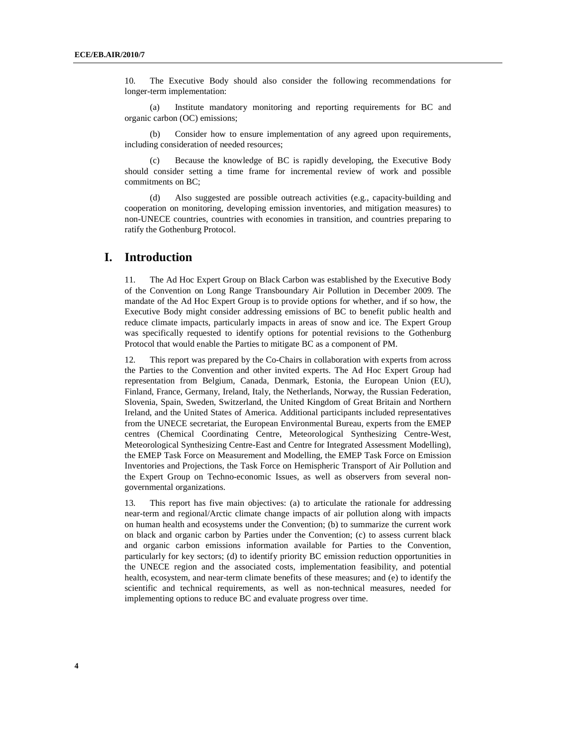10. The Executive Body should also consider the following recommendations for longer-term implementation:

(a) Institute mandatory monitoring and reporting requirements for BC and organic carbon (OC) emissions;

(b) Consider how to ensure implementation of any agreed upon requirements, including consideration of needed resources;

(c) Because the knowledge of BC is rapidly developing, the Executive Body should consider setting a time frame for incremental review of work and possible commitments on BC;

(d) Also suggested are possible outreach activities (e.g., capacity-building and cooperation on monitoring, developing emission inventories, and mitigation measures) to non-UNECE countries, countries with economies in transition, and countries preparing to ratify the Gothenburg Protocol.

#### **I. Introduction**

11. The Ad Hoc Expert Group on Black Carbon was established by the Executive Body of the Convention on Long Range Transboundary Air Pollution in December 2009. The mandate of the Ad Hoc Expert Group is to provide options for whether, and if so how, the Executive Body might consider addressing emissions of BC to benefit public health and reduce climate impacts, particularly impacts in areas of snow and ice. The Expert Group was specifically requested to identify options for potential revisions to the Gothenburg Protocol that would enable the Parties to mitigate BC as a component of PM.

12. This report was prepared by the Co-Chairs in collaboration with experts from across the Parties to the Convention and other invited experts. The Ad Hoc Expert Group had representation from Belgium, Canada, Denmark, Estonia, the European Union (EU), Finland, France, Germany, Ireland, Italy, the Netherlands, Norway, the Russian Federation, Slovenia, Spain, Sweden, Switzerland, the United Kingdom of Great Britain and Northern Ireland, and the United States of America. Additional participants included representatives from the UNECE secretariat, the European Environmental Bureau, experts from the EMEP centres (Chemical Coordinating Centre, Meteorological Synthesizing Centre-West, Meteorological Synthesizing Centre-East and Centre for Integrated Assessment Modelling), the EMEP Task Force on Measurement and Modelling, the EMEP Task Force on Emission Inventories and Projections, the Task Force on Hemispheric Transport of Air Pollution and the Expert Group on Techno-economic Issues, as well as observers from several nongovernmental organizations.

13. This report has five main objectives: (a) to articulate the rationale for addressing near-term and regional/Arctic climate change impacts of air pollution along with impacts on human health and ecosystems under the Convention; (b) to summarize the current work on black and organic carbon by Parties under the Convention; (c) to assess current black and organic carbon emissions information available for Parties to the Convention, particularly for key sectors; (d) to identify priority BC emission reduction opportunities in the UNECE region and the associated costs, implementation feasibility, and potential health, ecosystem, and near-term climate benefits of these measures; and (e) to identify the scientific and technical requirements, as well as non-technical measures, needed for implementing options to reduce BC and evaluate progress over time.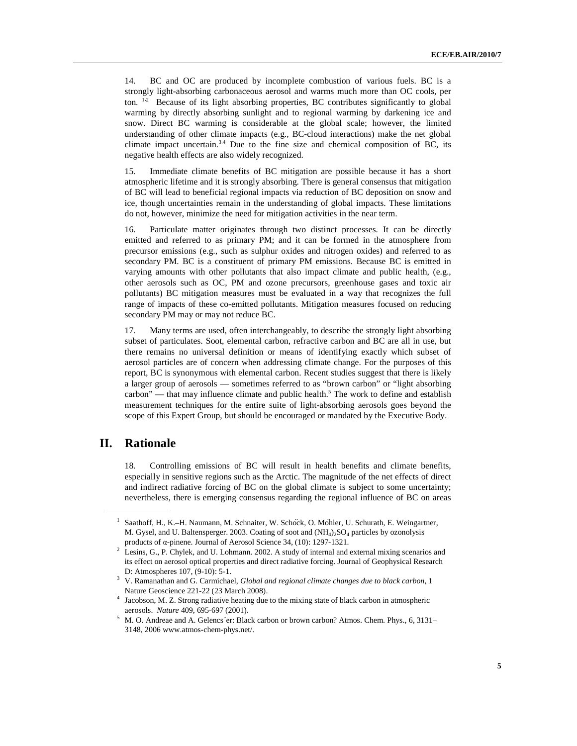14. BC and OC are produced by incomplete combustion of various fuels. BC is a strongly light-absorbing carbonaceous aerosol and warms much more than OC cools, per ton. <sup>1,2</sup> Because of its light absorbing properties, BC contributes significantly to global warming by directly absorbing sunlight and to regional warming by darkening ice and snow. Direct BC warming is considerable at the global scale; however, the limited understanding of other climate impacts (e.g., BC-cloud interactions) make the net global climate impact uncertain.<sup>3,4</sup> Due to the fine size and chemical composition of BC, its negative health effects are also widely recognized.

15. Immediate climate benefits of BC mitigation are possible because it has a short atmospheric lifetime and it is strongly absorbing. There is general consensus that mitigation of BC will lead to beneficial regional impacts via reduction of BC deposition on snow and ice, though uncertainties remain in the understanding of global impacts. These limitations do not, however, minimize the need for mitigation activities in the near term.

16. Particulate matter originates through two distinct processes. It can be directly emitted and referred to as primary PM; and it can be formed in the atmosphere from precursor emissions (e.g., such as sulphur oxides and nitrogen oxides) and referred to as secondary PM. BC is a constituent of primary PM emissions. Because BC is emitted in varying amounts with other pollutants that also impact climate and public health, (e.g., other aerosols such as OC, PM and ozone precursors, greenhouse gases and toxic air pollutants) BC mitigation measures must be evaluated in a way that recognizes the full range of impacts of these co-emitted pollutants. Mitigation measures focused on reducing secondary PM may or may not reduce BC.

17. Many terms are used, often interchangeably, to describe the strongly light absorbing subset of particulates. Soot, elemental carbon, refractive carbon and BC are all in use, but there remains no universal definition or means of identifying exactly which subset of aerosol particles are of concern when addressing climate change. For the purposes of this report, BC is synonymous with elemental carbon. Recent studies suggest that there is likely a larger group of aerosols — sometimes referred to as "brown carbon" or "light absorbing carbon" — that may influence climate and public health.<sup>5</sup> The work to define and establish measurement techniques for the entire suite of light-absorbing aerosols goes beyond the scope of this Expert Group, but should be encouraged or mandated by the Executive Body.

#### **II. Rationale**

18. Controlling emissions of BC will result in health benefits and climate benefits, especially in sensitive regions such as the Arctic. The magnitude of the net effects of direct and indirect radiative forcing of BC on the global climate is subject to some uncertainty; nevertheless, there is emerging consensus regarding the regional influence of BC on areas

<sup>1</sup> Saathoff, H., K.–H. Naumann, M. Schnaiter, W. Schöck, O. Möhler, U. Schurath, E. Weingartner, M. Gysel, and U. Baltensperger. 2003. Coating of soot and  $(NH_4)_2SO_4$  particles by ozonolysis products of α-pinene. Journal of Aerosol Science 34, (10): 1297-1321.

<sup>2</sup> Lesins, G., P. Chylek, and U. Lohmann. 2002. A study of internal and external mixing scenarios and its effect on aerosol optical properties and direct radiative forcing. Journal of Geophysical Research D: Atmospheres 107, (9-10): 5-1.

<sup>3</sup> V. Ramanathan and G. Carmichael, *Global and regional climate changes due to black carbon*, 1 Nature Geoscience 221-22 (23 March 2008).

<sup>&</sup>lt;sup>4</sup> Jacobson, M. Z. Strong radiative heating due to the mixing state of black carbon in atmospheric aerosols. *Nature* 409, 695-697 (2001).

<sup>5</sup> M. O. Andreae and A. Gelencs´er: Black carbon or brown carbon? Atmos. Chem. Phys., 6, 3131– 3148, 2006 www.atmos-chem-phys.net/.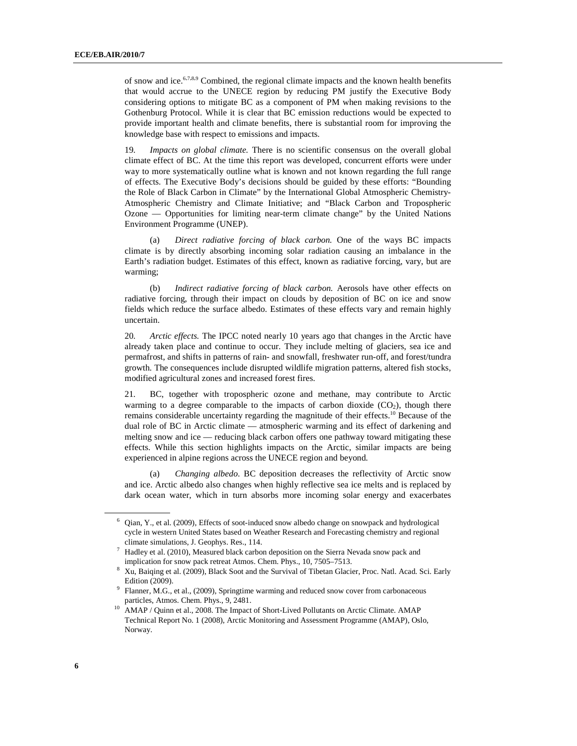of snow and ice.<sup>6,7,8,9</sup> Combined, the regional climate impacts and the known health benefits that would accrue to the UNECE region by reducing PM justify the Executive Body considering options to mitigate BC as a component of PM when making revisions to the Gothenburg Protocol. While it is clear that BC emission reductions would be expected to provide important health and climate benefits, there is substantial room for improving the knowledge base with respect to emissions and impacts.

19. *Impacts on global climate.* There is no scientific consensus on the overall global climate effect of BC. At the time this report was developed, concurrent efforts were under way to more systematically outline what is known and not known regarding the full range of effects. The Executive Body's decisions should be guided by these efforts: "Bounding the Role of Black Carbon in Climate" by the International Global Atmospheric Chemistry-Atmospheric Chemistry and Climate Initiative; and "Black Carbon and Tropospheric Ozone — Opportunities for limiting near-term climate change" by the United Nations Environment Programme (UNEP).

 (a) *Direct radiative forcing of black carbon.* One of the ways BC impacts climate is by directly absorbing incoming solar radiation causing an imbalance in the Earth's radiation budget. Estimates of this effect, known as radiative forcing, vary, but are warming;

(b) *Indirect radiative forcing of black carbon.* Aerosols have other effects on radiative forcing, through their impact on clouds by deposition of BC on ice and snow fields which reduce the surface albedo. Estimates of these effects vary and remain highly uncertain.

20. *Arctic effects.* The IPCC noted nearly 10 years ago that changes in the Arctic have already taken place and continue to occur. They include melting of glaciers, sea ice and permafrost, and shifts in patterns of rain- and snowfall, freshwater run-off, and forest/tundra growth. The consequences include disrupted wildlife migration patterns, altered fish stocks, modified agricultural zones and increased forest fires.

21. BC, together with tropospheric ozone and methane, may contribute to Arctic warming to a degree comparable to the impacts of carbon dioxide  $(CO<sub>2</sub>)$ , though there remains considerable uncertainty regarding the magnitude of their effects.<sup>10</sup> Because of the dual role of BC in Arctic climate — atmospheric warming and its effect of darkening and melting snow and ice — reducing black carbon offers one pathway toward mitigating these effects. While this section highlights impacts on the Arctic, similar impacts are being experienced in alpine regions across the UNECE region and beyond.

(a) *Changing albedo*. BC deposition decreases the reflectivity of Arctic snow and ice. Arctic albedo also changes when highly reflective sea ice melts and is replaced by dark ocean water, which in turn absorbs more incoming solar energy and exacerbates

<sup>6</sup> Qian, Y., et al. (2009), Effects of soot-induced snow albedo change on snowpack and hydrological cycle in western United States based on Weather Research and Forecasting chemistry and regional climate simulations, J. Geophys. Res., 114.

<sup>7</sup> Hadley et al. (2010), Measured black carbon deposition on the Sierra Nevada snow pack and implication for snow pack retreat Atmos. Chem. Phys., 10, 7505–7513.

<sup>8</sup> Xu, Baiqing et al. (2009), Black Soot and the Survival of Tibetan Glacier, Proc. Natl. Acad. Sci. Early Edition (2009).

<sup>&</sup>lt;sup>9</sup> Flanner, M.G., et al., (2009), Springtime warming and reduced snow cover from carbonaceous particles, Atmos. Chem. Phys., 9, 2481.

<sup>&</sup>lt;sup>10</sup> AMAP / Quinn et al., 2008. The Impact of Short-Lived Pollutants on Arctic Climate. AMAP Technical Report No. 1 (2008), Arctic Monitoring and Assessment Programme (AMAP), Oslo, Norway.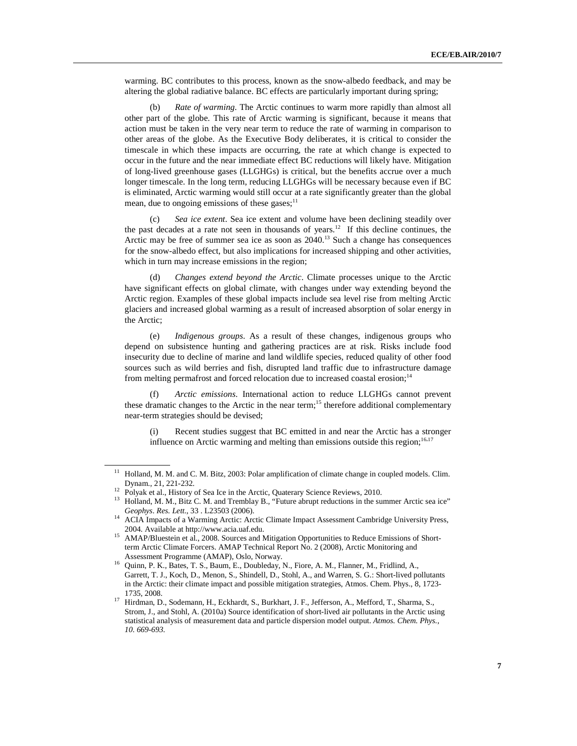warming. BC contributes to this process, known as the snow-albedo feedback, and may be altering the global radiative balance. BC effects are particularly important during spring;

(b) *Rate of warming*. The Arctic continues to warm more rapidly than almost all other part of the globe. This rate of Arctic warming is significant, because it means that action must be taken in the very near term to reduce the rate of warming in comparison to other areas of the globe. As the Executive Body deliberates, it is critical to consider the timescale in which these impacts are occurring, the rate at which change is expected to occur in the future and the near immediate effect BC reductions will likely have. Mitigation of long-lived greenhouse gases (LLGHGs) is critical, but the benefits accrue over a much longer timescale. In the long term, reducing LLGHGs will be necessary because even if BC is eliminated, Arctic warming would still occur at a rate significantly greater than the global mean, due to ongoing emissions of these gases; $<sup>11</sup>$ </sup>

(c) *Sea ice extent*. Sea ice extent and volume have been declining steadily over the past decades at a rate not seen in thousands of years.<sup>12</sup> If this decline continues, the Arctic may be free of summer sea ice as soon as  $2040$ .<sup>13</sup> Such a change has consequences for the snow-albedo effect, but also implications for increased shipping and other activities, which in turn may increase emissions in the region;

(d) *Changes extend beyond the Arctic*. Climate processes unique to the Arctic have significant effects on global climate, with changes under way extending beyond the Arctic region. Examples of these global impacts include sea level rise from melting Arctic glaciers and increased global warming as a result of increased absorption of solar energy in the Arctic;

(e) *Indigenous groups*. As a result of these changes, indigenous groups who depend on subsistence hunting and gathering practices are at risk. Risks include food insecurity due to decline of marine and land wildlife species, reduced quality of other food sources such as wild berries and fish, disrupted land traffic due to infrastructure damage from melting permafrost and forced relocation due to increased coastal erosion;<sup>14</sup>

(f) *Arctic emissions*. International action to reduce LLGHGs cannot prevent these dramatic changes to the Arctic in the near term;<sup>15</sup> therefore additional complementary near-term strategies should be devised;

(i) Recent studies suggest that BC emitted in and near the Arctic has a stronger influence on Arctic warming and melting than emissions outside this region; $16,17$ 

<sup>&</sup>lt;sup>11</sup> Holland, M. M. and C. M. Bitz, 2003: Polar amplification of climate change in coupled models. Clim. Dynam., 21, 221-232.

<sup>&</sup>lt;sup>12</sup> Polyak et al., History of Sea Ice in the Arctic, Quaterary Science Reviews, 2010.

<sup>&</sup>lt;sup>13</sup> Holland, M. M., Bitz C. M. and Tremblay B., "Future abrupt reductions in the summer Arctic sea ice" *Geophys. Res. Lett.*, 33 . L23503 (2006).

<sup>&</sup>lt;sup>14</sup> ACIA Impacts of a Warming Arctic: Arctic Climate Impact Assessment Cambridge University Press, 2004. Available at http://www.acia.uaf.edu.

<sup>&</sup>lt;sup>15</sup> AMAP/Bluestein et al., 2008. Sources and Mitigation Opportunities to Reduce Emissions of Shortterm Arctic Climate Forcers. AMAP Technical Report No. 2 (2008), Arctic Monitoring and Assessment Programme (AMAP), Oslo, Norway.

<sup>16</sup> Quinn, P. K., Bates, T. S., Baum, E., Doubleday, N., Fiore, A. M., Flanner, M., Fridlind, A., Garrett, T. J., Koch, D., Menon, S., Shindell, D., Stohl, A., and Warren, S. G.: Short-lived pollutants in the Arctic: their climate impact and possible mitigation strategies, Atmos. Chem. Phys., 8, 1723- 1735, 2008.

<sup>&</sup>lt;sup>17</sup> Hirdman, D., Sodemann, H., Eckhardt, S., Burkhart, J. F., Jefferson, A., Mefford, T., Sharma, S., Strom, J., and Stohl, A. (2010a) Source identification of short-lived air pollutants in the Arctic using statistical analysis of measurement data and particle dispersion model output. *Atmos. Chem. Phys., 10. 669-693.*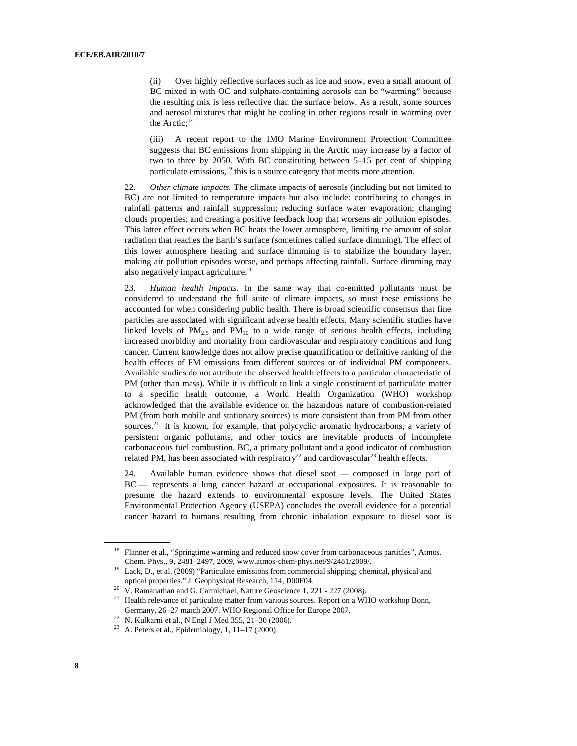(ii) Over highly reflective surfaces such as ice and snow, even a small amount of BC mixed in with OC and sulphate-containing aerosols can be "warming" because the resulting mix is less reflective than the surface below. As a result, some sources and aerosol mixtures that might be cooling in other regions result in warming over the Arctic;<sup>18</sup>

(iii) A recent report to the IMO Marine Environment Protection Committee suggests that BC emissions from shipping in the Arctic may increase by a factor of two to three by 2050. With BC constituting between 5–15 per cent of shipping particulate emissions, $19$  this is a source category that merits more attention.

22. *Other climate impacts.* The climate impacts of aerosols (including but not limited to BC) are not limited to temperature impacts but also include: contributing to changes in rainfall patterns and rainfall suppression; reducing surface water evaporation; changing clouds properties; and creating a positive feedback loop that worsens air pollution episodes. This latter effect occurs when BC heats the lower atmosphere, limiting the amount of solar radiation that reaches the Earth's surface (sometimes called surface dimming). The effect of this lower atmosphere heating and surface dimming is to stabilize the boundary layer, making air pollution episodes worse, and perhaps affecting rainfall. Surface dimming may also negatively impact agriculture.<sup>20</sup>

23. *Human health impacts.* In the same way that co-emitted pollutants must be considered to understand the full suite of climate impacts, so must these emissions be accounted for when considering public health. There is broad scientific consensus that fine particles are associated with significant adverse health effects. Many scientific studies have linked levels of  $PM_{2.5}$  and  $PM_{10}$  to a wide range of serious health effects, including increased morbidity and mortality from cardiovascular and respiratory conditions and lung cancer. Current knowledge does not allow precise quantification or definitive ranking of the health effects of PM emissions from different sources or of individual PM components. Available studies do not attribute the observed health effects to a particular characteristic of PM (other than mass). While it is difficult to link a single constituent of particulate matter to a specific health outcome, a World Health Organization (WHO) workshop acknowledged that the available evidence on the hazardous nature of combustion-related PM (from both mobile and stationary sources) is more consistent than from PM from other sources.<sup>21</sup> It is known, for example, that polycyclic aromatic hydrocarbons, a variety of persistent organic pollutants, and other toxics are inevitable products of incomplete carbonaceous fuel combustion. BC, a primary pollutant and a good indicator of combustion related PM, has been associated with respiratory<sup>22</sup> and cardiovascular<sup>23</sup> health effects.

24. Available human evidence shows that diesel soot — composed in large part of BC — represents a lung cancer hazard at occupational exposures. It is reasonable to presume the hazard extends to environmental exposure levels. The United States Environmental Protection Agency (USEPA) concludes the overall evidence for a potential cancer hazard to humans resulting from chronic inhalation exposure to diesel soot is

<sup>&</sup>lt;sup>18</sup> Flanner et al., "Springtime warming and reduced snow cover from carbonaceous particles", Atmos. Chem. Phys., 9, 2481–2497, 2009, www.atmos-chem-phys.net/9/2481/2009/.

<sup>&</sup>lt;sup>19</sup> Lack, D., et al. (2009) "Particulate emissions from commercial shipping; chemical, physical and optical properties." J. Geophysical Research, 114, D00F04.

<sup>&</sup>lt;sup>20</sup> V. Ramanathan and G. Carmichael, Nature Geoscience 1, 221 - 227 (2008).

 $21$  Health relevance of particulate matter from various sources. Report on a WHO workshop Bonn, Germany, 26–27 march 2007. WHO Regional Office for Europe 2007.

 $22$  N. Kulkarni et al., N Engl J Med 355, 21–30 (2006).

<sup>&</sup>lt;sup>23</sup> A. Peters et al., Epidemiology, 1, 11-17 (2000).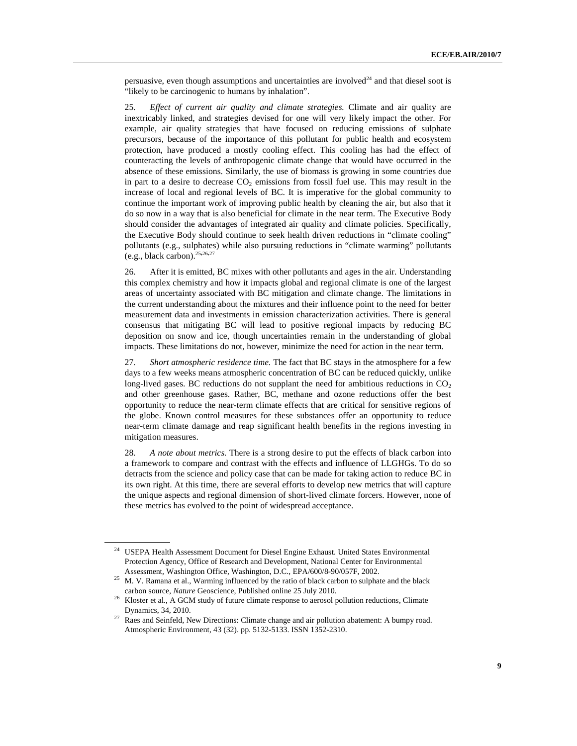persuasive, even though assumptions and uncertainties are involved $24$  and that diesel soot is "likely to be carcinogenic to humans by inhalation".

25. *Effect of current air quality and climate strategies.* Climate and air quality are inextricably linked, and strategies devised for one will very likely impact the other. For example, air quality strategies that have focused on reducing emissions of sulphate precursors, because of the importance of this pollutant for public health and ecosystem protection, have produced a mostly cooling effect. This cooling has had the effect of counteracting the levels of anthropogenic climate change that would have occurred in the absence of these emissions. Similarly, the use of biomass is growing in some countries due in part to a desire to decrease  $CO<sub>2</sub>$  emissions from fossil fuel use. This may result in the increase of local and regional levels of BC. It is imperative for the global community to continue the important work of improving public health by cleaning the air, but also that it do so now in a way that is also beneficial for climate in the near term. The Executive Body should consider the advantages of integrated air quality and climate policies. Specifically, the Executive Body should continue to seek health driven reductions in "climate cooling" pollutants (e.g., sulphates) while also pursuing reductions in "climate warming" pollutants (e.g., black carbon).<sup>25</sup>**,**26,<sup>27</sup>

26. After it is emitted, BC mixes with other pollutants and ages in the air. Understanding this complex chemistry and how it impacts global and regional climate is one of the largest areas of uncertainty associated with BC mitigation and climate change. The limitations in the current understanding about the mixtures and their influence point to the need for better measurement data and investments in emission characterization activities. There is general consensus that mitigating BC will lead to positive regional impacts by reducing BC deposition on snow and ice, though uncertainties remain in the understanding of global impacts. These limitations do not, however, minimize the need for action in the near term.

27. *Short atmospheric residence time.* The fact that BC stays in the atmosphere for a few days to a few weeks means atmospheric concentration of BC can be reduced quickly, unlike long-lived gases. BC reductions do not supplant the need for ambitious reductions in  $CO<sub>2</sub>$ and other greenhouse gases. Rather, BC, methane and ozone reductions offer the best opportunity to reduce the near-term climate effects that are critical for sensitive regions of the globe. Known control measures for these substances offer an opportunity to reduce near-term climate damage and reap significant health benefits in the regions investing in mitigation measures.

28. *A note about metrics.* There is a strong desire to put the effects of black carbon into a framework to compare and contrast with the effects and influence of LLGHGs. To do so detracts from the science and policy case that can be made for taking action to reduce BC in its own right. At this time, there are several efforts to develop new metrics that will capture the unique aspects and regional dimension of short-lived climate forcers. However, none of these metrics has evolved to the point of widespread acceptance.

<sup>&</sup>lt;sup>24</sup> USEPA Health Assessment Document for Diesel Engine Exhaust. United States Environmental Protection Agency, Office of Research and Development, National Center for Environmental Assessment, Washington Office, Washington, D.C., EPA/600/8-90/057F, 2002.

<sup>&</sup>lt;sup>25</sup> M. V. Ramana et al., Warming influenced by the ratio of black carbon to sulphate and the black carbon source, *Nature* Geoscience, Published online 25 July 2010.

<sup>&</sup>lt;sup>26</sup> Kloster et al., A GCM study of future climate response to aerosol pollution reductions, Climate Dynamics, 34, 2010.

 $27$  Raes and Seinfeld, New Directions: Climate change and air pollution abatement: A bumpy road. Atmospheric Environment, 43 (32). pp. 5132-5133. ISSN 1352-2310.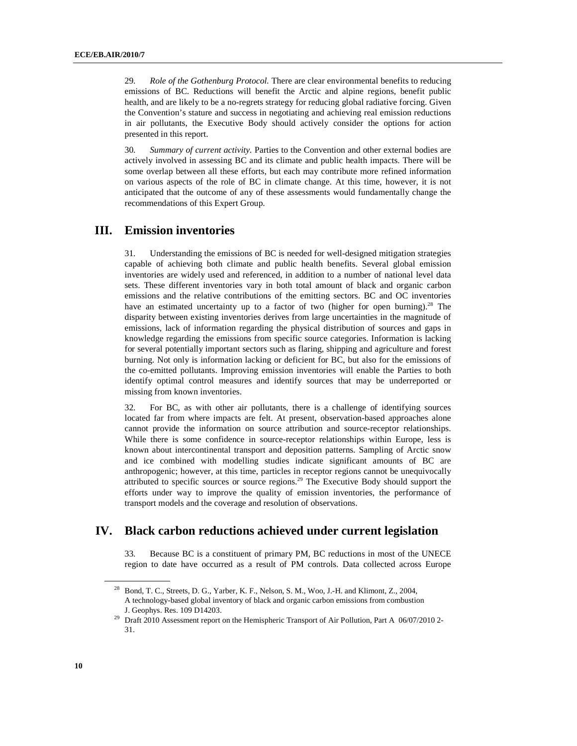29. *Role of the Gothenburg Protocol.* There are clear environmental benefits to reducing emissions of BC. Reductions will benefit the Arctic and alpine regions, benefit public health, and are likely to be a no-regrets strategy for reducing global radiative forcing. Given the Convention's stature and success in negotiating and achieving real emission reductions in air pollutants, the Executive Body should actively consider the options for action presented in this report.

30. *Summary of current activity.* Parties to the Convention and other external bodies are actively involved in assessing BC and its climate and public health impacts. There will be some overlap between all these efforts, but each may contribute more refined information on various aspects of the role of BC in climate change. At this time, however, it is not anticipated that the outcome of any of these assessments would fundamentally change the recommendations of this Expert Group.

## **III. Emission inventories**

31. Understanding the emissions of BC is needed for well-designed mitigation strategies capable of achieving both climate and public health benefits. Several global emission inventories are widely used and referenced, in addition to a number of national level data sets. These different inventories vary in both total amount of black and organic carbon emissions and the relative contributions of the emitting sectors. BC and OC inventories have an estimated uncertainty up to a factor of two (higher for open burning).<sup>28</sup> The disparity between existing inventories derives from large uncertainties in the magnitude of emissions, lack of information regarding the physical distribution of sources and gaps in knowledge regarding the emissions from specific source categories. Information is lacking for several potentially important sectors such as flaring, shipping and agriculture and forest burning. Not only is information lacking or deficient for BC, but also for the emissions of the co-emitted pollutants. Improving emission inventories will enable the Parties to both identify optimal control measures and identify sources that may be underreported or missing from known inventories.

32. For BC, as with other air pollutants, there is a challenge of identifying sources located far from where impacts are felt. At present, observation-based approaches alone cannot provide the information on source attribution and source-receptor relationships. While there is some confidence in source-receptor relationships within Europe, less is known about intercontinental transport and deposition patterns. Sampling of Arctic snow and ice combined with modelling studies indicate significant amounts of BC are anthropogenic; however, at this time, particles in receptor regions cannot be unequivocally attributed to specific sources or source regions.<sup>29</sup> The Executive Body should support the efforts under way to improve the quality of emission inventories, the performance of transport models and the coverage and resolution of observations.

### **IV. Black carbon reductions achieved under current legislation**

33. Because BC is a constituent of primary PM, BC reductions in most of the UNECE region to date have occurred as a result of PM controls. Data collected across Europe

<sup>&</sup>lt;sup>28</sup> Bond, T. C., Streets, D. G., Yarber, K. F., Nelson, S. M., Woo, J.-H. and Klimont, Z., 2004, A technology-based global inventory of black and organic carbon emissions from combustion J. Geophys. Res. 109 D14203.

<sup>&</sup>lt;sup>29</sup> Draft 2010 Assessment report on the Hemispheric Transport of Air Pollution, Part A 06/07/2010 2-31.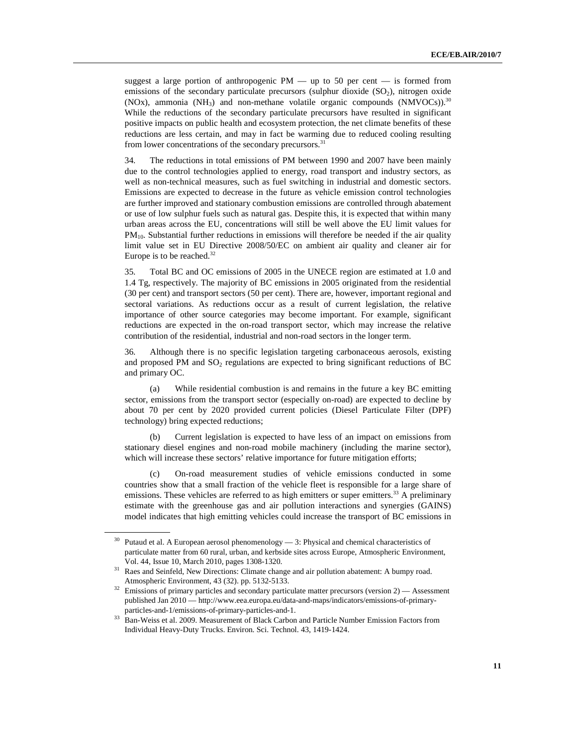suggest a large portion of anthropogenic  $PM$  — up to 50 per cent — is formed from emissions of the secondary particulate precursors (sulphur dioxide  $(SO<sub>2</sub>)$ , nitrogen oxide (NOx), ammonia (NH<sub>3</sub>) and non-methane volatile organic compounds (NMVOCs).<sup>30</sup> While the reductions of the secondary particulate precursors have resulted in significant positive impacts on public health and ecosystem protection, the net climate benefits of these reductions are less certain, and may in fact be warming due to reduced cooling resulting from lower concentrations of the secondary precursors.<sup>31</sup>

34. The reductions in total emissions of PM between 1990 and 2007 have been mainly due to the control technologies applied to energy, road transport and industry sectors, as well as non-technical measures, such as fuel switching in industrial and domestic sectors. Emissions are expected to decrease in the future as vehicle emission control technologies are further improved and stationary combustion emissions are controlled through abatement or use of low sulphur fuels such as natural gas. Despite this, it is expected that within many urban areas across the EU, concentrations will still be well above the EU limit values for  $PM_{10}$ . Substantial further reductions in emissions will therefore be needed if the air quality limit value set in EU Directive 2008/50/EC on ambient air quality and cleaner air for Europe is to be reached.<sup>32</sup>

35. Total BC and OC emissions of 2005 in the UNECE region are estimated at 1.0 and 1.4 Tg, respectively. The majority of BC emissions in 2005 originated from the residential (30 per cent) and transport sectors (50 per cent). There are, however, important regional and sectoral variations. As reductions occur as a result of current legislation, the relative importance of other source categories may become important. For example, significant reductions are expected in the on-road transport sector, which may increase the relative contribution of the residential, industrial and non-road sectors in the longer term.

36. Although there is no specific legislation targeting carbonaceous aerosols, existing and proposed PM and  $SO_2$  regulations are expected to bring significant reductions of BC and primary OC.

(a) While residential combustion is and remains in the future a key BC emitting sector, emissions from the transport sector (especially on-road) are expected to decline by about 70 per cent by 2020 provided current policies (Diesel Particulate Filter (DPF) technology) bring expected reductions;

(b) Current legislation is expected to have less of an impact on emissions from stationary diesel engines and non-road mobile machinery (including the marine sector), which will increase these sectors' relative importance for future mitigation efforts;

(c) On-road measurement studies of vehicle emissions conducted in some countries show that a small fraction of the vehicle fleet is responsible for a large share of emissions. These vehicles are referred to as high emitters or super emitters.<sup>33</sup> A preliminary estimate with the greenhouse gas and air pollution interactions and synergies (GAINS) model indicates that high emitting vehicles could increase the transport of BC emissions in

 $30$  Putaud et al. A European aerosol phenomenology  $-3$ : Physical and chemical characteristics of particulate matter from 60 rural, urban, and kerbside sites across Europe, Atmospheric Environment, Vol. 44, Issue 10, March 2010, pages 1308-1320.

<sup>31</sup> Raes and Seinfeld, New Directions: Climate change and air pollution abatement: A bumpy road. Atmospheric Environment, 43 (32). pp. 5132-5133.

<sup>&</sup>lt;sup>32</sup> Emissions of primary particles and secondary particulate matter precursors (version 2) — Assessment published Jan 2010 — http://www.eea.europa.eu/data-and-maps/indicators/emissions-of-primaryparticles-and-1/emissions-of-primary-particles-and-1.

<sup>&</sup>lt;sup>33</sup> Ban-Weiss et al. 2009. Measurement of Black Carbon and Particle Number Emission Factors from Individual Heavy-Duty Trucks. Environ. Sci. Technol. 43, 1419-1424.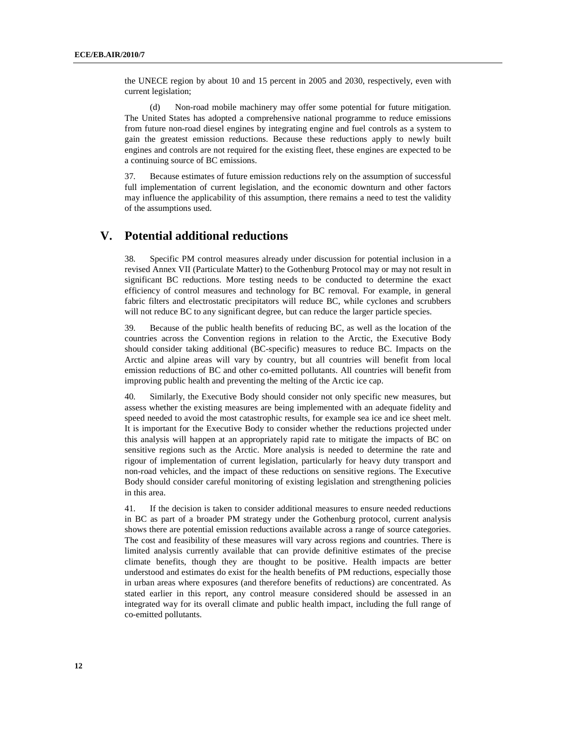the UNECE region by about 10 and 15 percent in 2005 and 2030, respectively, even with current legislation;

(d) Non-road mobile machinery may offer some potential for future mitigation. The United States has adopted a comprehensive national programme to reduce emissions from future non-road diesel engines by integrating engine and fuel controls as a system to gain the greatest emission reductions. Because these reductions apply to newly built engines and controls are not required for the existing fleet, these engines are expected to be a continuing source of BC emissions.

37. Because estimates of future emission reductions rely on the assumption of successful full implementation of current legislation, and the economic downturn and other factors may influence the applicability of this assumption, there remains a need to test the validity of the assumptions used.

### **V. Potential additional reductions**

38. Specific PM control measures already under discussion for potential inclusion in a revised Annex VII (Particulate Matter) to the Gothenburg Protocol may or may not result in significant BC reductions. More testing needs to be conducted to determine the exact efficiency of control measures and technology for BC removal. For example, in general fabric filters and electrostatic precipitators will reduce BC, while cyclones and scrubbers will not reduce BC to any significant degree, but can reduce the larger particle species.

39. Because of the public health benefits of reducing BC, as well as the location of the countries across the Convention regions in relation to the Arctic, the Executive Body should consider taking additional (BC-specific) measures to reduce BC. Impacts on the Arctic and alpine areas will vary by country, but all countries will benefit from local emission reductions of BC and other co-emitted pollutants. All countries will benefit from improving public health and preventing the melting of the Arctic ice cap.

40. Similarly, the Executive Body should consider not only specific new measures, but assess whether the existing measures are being implemented with an adequate fidelity and speed needed to avoid the most catastrophic results, for example sea ice and ice sheet melt. It is important for the Executive Body to consider whether the reductions projected under this analysis will happen at an appropriately rapid rate to mitigate the impacts of BC on sensitive regions such as the Arctic. More analysis is needed to determine the rate and rigour of implementation of current legislation, particularly for heavy duty transport and non-road vehicles, and the impact of these reductions on sensitive regions. The Executive Body should consider careful monitoring of existing legislation and strengthening policies in this area.

41. If the decision is taken to consider additional measures to ensure needed reductions in BC as part of a broader PM strategy under the Gothenburg protocol, current analysis shows there are potential emission reductions available across a range of source categories. The cost and feasibility of these measures will vary across regions and countries. There is limited analysis currently available that can provide definitive estimates of the precise climate benefits, though they are thought to be positive. Health impacts are better understood and estimates do exist for the health benefits of PM reductions, especially those in urban areas where exposures (and therefore benefits of reductions) are concentrated. As stated earlier in this report, any control measure considered should be assessed in an integrated way for its overall climate and public health impact, including the full range of co-emitted pollutants.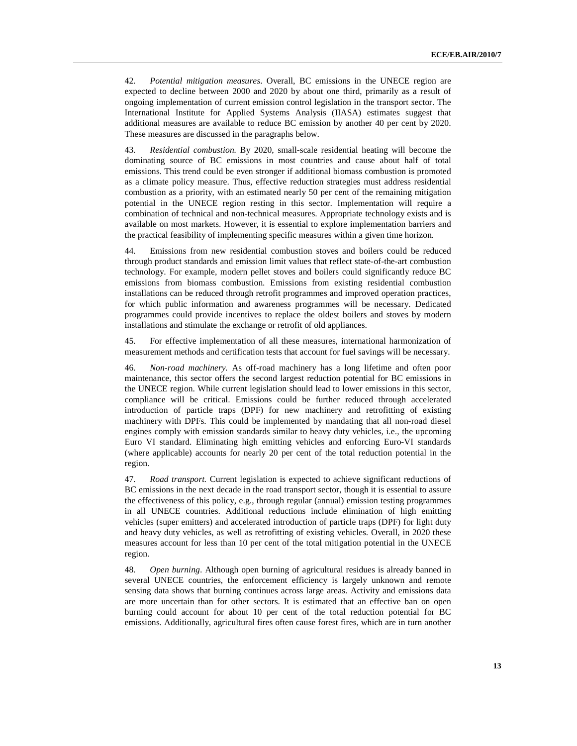42. *Potential mitigation measures*. Overall, BC emissions in the UNECE region are expected to decline between 2000 and 2020 by about one third, primarily as a result of ongoing implementation of current emission control legislation in the transport sector. The International Institute for Applied Systems Analysis (IIASA) estimates suggest that additional measures are available to reduce BC emission by another 40 per cent by 2020. These measures are discussed in the paragraphs below.

43. *Residential combustion.* By 2020, small-scale residential heating will become the dominating source of BC emissions in most countries and cause about half of total emissions. This trend could be even stronger if additional biomass combustion is promoted as a climate policy measure. Thus, effective reduction strategies must address residential combustion as a priority, with an estimated nearly 50 per cent of the remaining mitigation potential in the UNECE region resting in this sector. Implementation will require a combination of technical and non-technical measures. Appropriate technology exists and is available on most markets. However, it is essential to explore implementation barriers and the practical feasibility of implementing specific measures within a given time horizon.

44. Emissions from new residential combustion stoves and boilers could be reduced through product standards and emission limit values that reflect state-of-the-art combustion technology. For example, modern pellet stoves and boilers could significantly reduce BC emissions from biomass combustion. Emissions from existing residential combustion installations can be reduced through retrofit programmes and improved operation practices, for which public information and awareness programmes will be necessary. Dedicated programmes could provide incentives to replace the oldest boilers and stoves by modern installations and stimulate the exchange or retrofit of old appliances.

45. For effective implementation of all these measures, international harmonization of measurement methods and certification tests that account for fuel savings will be necessary.

46. *Non-road machinery.* As off-road machinery has a long lifetime and often poor maintenance, this sector offers the second largest reduction potential for BC emissions in the UNECE region. While current legislation should lead to lower emissions in this sector, compliance will be critical. Emissions could be further reduced through accelerated introduction of particle traps (DPF) for new machinery and retrofitting of existing machinery with DPFs. This could be implemented by mandating that all non-road diesel engines comply with emission standards similar to heavy duty vehicles, i.e., the upcoming Euro VI standard. Eliminating high emitting vehicles and enforcing Euro-VI standards (where applicable) accounts for nearly 20 per cent of the total reduction potential in the region.

47. *Road transport.* Current legislation is expected to achieve significant reductions of BC emissions in the next decade in the road transport sector, though it is essential to assure the effectiveness of this policy, e.g., through regular (annual) emission testing programmes in all UNECE countries. Additional reductions include elimination of high emitting vehicles (super emitters) and accelerated introduction of particle traps (DPF) for light duty and heavy duty vehicles, as well as retrofitting of existing vehicles. Overall, in 2020 these measures account for less than 10 per cent of the total mitigation potential in the UNECE region.

48. *Open burning*. Although open burning of agricultural residues is already banned in several UNECE countries, the enforcement efficiency is largely unknown and remote sensing data shows that burning continues across large areas. Activity and emissions data are more uncertain than for other sectors. It is estimated that an effective ban on open burning could account for about 10 per cent of the total reduction potential for BC emissions. Additionally, agricultural fires often cause forest fires, which are in turn another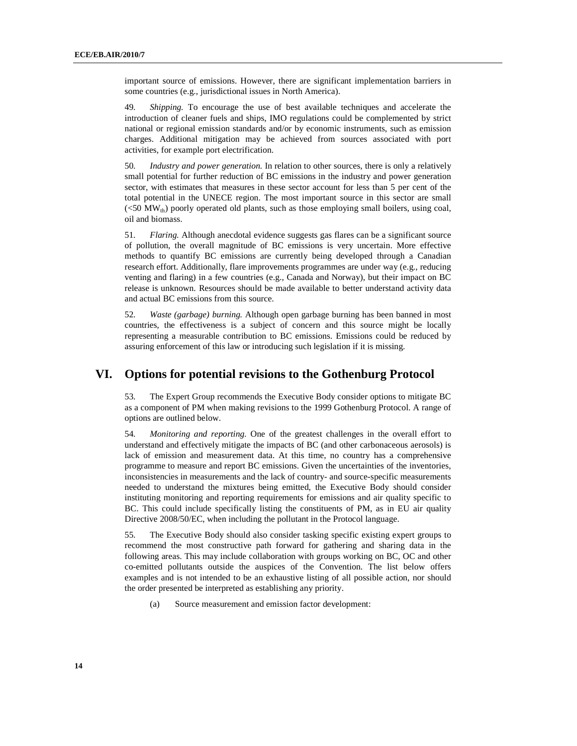important source of emissions. However, there are significant implementation barriers in some countries (e.g., jurisdictional issues in North America).

49. *Shipping.* To encourage the use of best available techniques and accelerate the introduction of cleaner fuels and ships, IMO regulations could be complemented by strict national or regional emission standards and/or by economic instruments, such as emission charges. Additional mitigation may be achieved from sources associated with port activities, for example port electrification.

50. *Industry and power generation.* In relation to other sources, there is only a relatively small potential for further reduction of BC emissions in the industry and power generation sector, with estimates that measures in these sector account for less than 5 per cent of the total potential in the UNECE region. The most important source in this sector are small  $(<50$  MW<sub>th</sub>) poorly operated old plants, such as those employing small boilers, using coal, oil and biomass.

51. *Flaring.* Although anecdotal evidence suggests gas flares can be a significant source of pollution, the overall magnitude of BC emissions is very uncertain. More effective methods to quantify BC emissions are currently being developed through a Canadian research effort. Additionally, flare improvements programmes are under way (e.g., reducing venting and flaring) in a few countries (e.g., Canada and Norway), but their impact on BC release is unknown. Resources should be made available to better understand activity data and actual BC emissions from this source.

52. *Waste (garbage) burning.* Although open garbage burning has been banned in most countries, the effectiveness is a subject of concern and this source might be locally representing a measurable contribution to BC emissions. Emissions could be reduced by assuring enforcement of this law or introducing such legislation if it is missing.

### **VI. Options for potential revisions to the Gothenburg Protocol**

53. The Expert Group recommends the Executive Body consider options to mitigate BC as a component of PM when making revisions to the 1999 Gothenburg Protocol. A range of options are outlined below.

54. *Monitoring and reporting.* One of the greatest challenges in the overall effort to understand and effectively mitigate the impacts of BC (and other carbonaceous aerosols) is lack of emission and measurement data. At this time, no country has a comprehensive programme to measure and report BC emissions. Given the uncertainties of the inventories, inconsistencies in measurements and the lack of country- and source-specific measurements needed to understand the mixtures being emitted, the Executive Body should consider instituting monitoring and reporting requirements for emissions and air quality specific to BC. This could include specifically listing the constituents of PM, as in EU air quality Directive 2008/50/EC, when including the pollutant in the Protocol language.

55. The Executive Body should also consider tasking specific existing expert groups to recommend the most constructive path forward for gathering and sharing data in the following areas. This may include collaboration with groups working on BC, OC and other co-emitted pollutants outside the auspices of the Convention. The list below offers examples and is not intended to be an exhaustive listing of all possible action, nor should the order presented be interpreted as establishing any priority.

(a) Source measurement and emission factor development: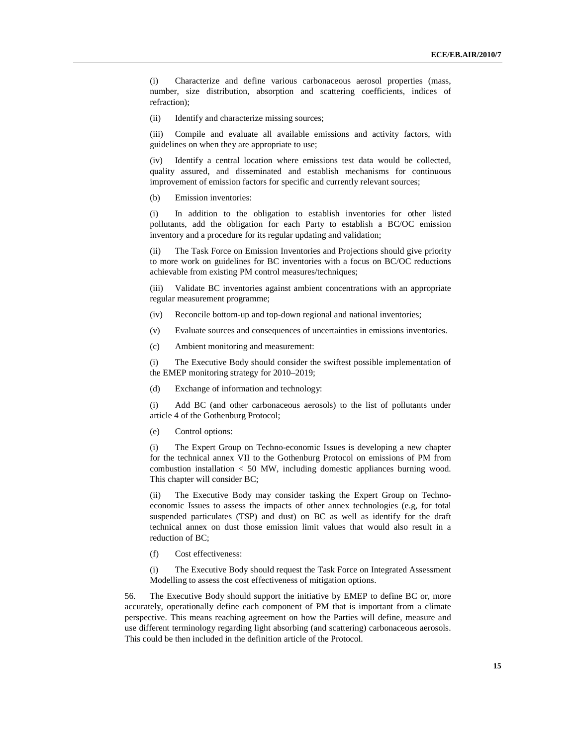(i) Characterize and define various carbonaceous aerosol properties (mass, number, size distribution, absorption and scattering coefficients, indices of refraction);

(ii) Identify and characterize missing sources;

(iii) Compile and evaluate all available emissions and activity factors, with guidelines on when they are appropriate to use;

(iv) Identify a central location where emissions test data would be collected, quality assured, and disseminated and establish mechanisms for continuous improvement of emission factors for specific and currently relevant sources;

(b) Emission inventories:

(i) In addition to the obligation to establish inventories for other listed pollutants, add the obligation for each Party to establish a BC/OC emission inventory and a procedure for its regular updating and validation;

(ii) The Task Force on Emission Inventories and Projections should give priority to more work on guidelines for BC inventories with a focus on BC/OC reductions achievable from existing PM control measures/techniques;

(iii) Validate BC inventories against ambient concentrations with an appropriate regular measurement programme;

- (iv) Reconcile bottom-up and top-down regional and national inventories;
- (v) Evaluate sources and consequences of uncertainties in emissions inventories.
- (c) Ambient monitoring and measurement:

(i) The Executive Body should consider the swiftest possible implementation of the EMEP monitoring strategy for 2010–2019;

(d) Exchange of information and technology:

(i) Add BC (and other carbonaceous aerosols) to the list of pollutants under article 4 of the Gothenburg Protocol;

(e) Control options:

(i) The Expert Group on Techno-economic Issues is developing a new chapter for the technical annex VII to the Gothenburg Protocol on emissions of PM from combustion installation < 50 MW, including domestic appliances burning wood. This chapter will consider BC;

(ii) The Executive Body may consider tasking the Expert Group on Technoeconomic Issues to assess the impacts of other annex technologies (e.g, for total suspended particulates (TSP) and dust) on BC as well as identify for the draft technical annex on dust those emission limit values that would also result in a reduction of BC;

(f) Cost effectiveness:

(i) The Executive Body should request the Task Force on Integrated Assessment Modelling to assess the cost effectiveness of mitigation options.

56. The Executive Body should support the initiative by EMEP to define BC or, more accurately, operationally define each component of PM that is important from a climate perspective. This means reaching agreement on how the Parties will define, measure and use different terminology regarding light absorbing (and scattering) carbonaceous aerosols. This could be then included in the definition article of the Protocol.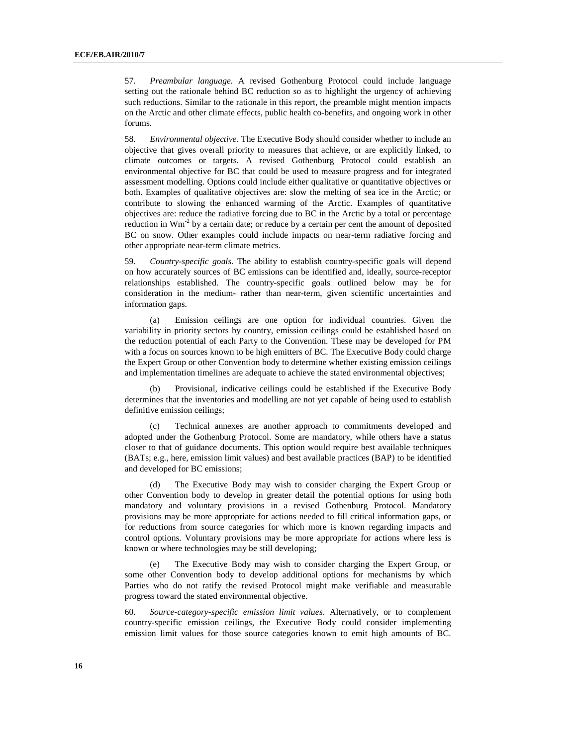57. *Preambular language.* A revised Gothenburg Protocol could include language setting out the rationale behind BC reduction so as to highlight the urgency of achieving such reductions. Similar to the rationale in this report, the preamble might mention impacts on the Arctic and other climate effects, public health co-benefits, and ongoing work in other forums.

58. *Environmental objective*. The Executive Body should consider whether to include an objective that gives overall priority to measures that achieve, or are explicitly linked, to climate outcomes or targets. A revised Gothenburg Protocol could establish an environmental objective for BC that could be used to measure progress and for integrated assessment modelling. Options could include either qualitative or quantitative objectives or both. Examples of qualitative objectives are: slow the melting of sea ice in the Arctic; or contribute to slowing the enhanced warming of the Arctic. Examples of quantitative objectives are: reduce the radiative forcing due to BC in the Arctic by a total or percentage reduction in  $Wm<sup>2</sup>$  by a certain date; or reduce by a certain per cent the amount of deposited BC on snow. Other examples could include impacts on near-term radiative forcing and other appropriate near-term climate metrics.

59. *Country-specific goals*. The ability to establish country-specific goals will depend on how accurately sources of BC emissions can be identified and, ideally, source-receptor relationships established. The country-specific goals outlined below may be for consideration in the medium- rather than near-term, given scientific uncertainties and information gaps.

(a) Emission ceilings are one option for individual countries. Given the variability in priority sectors by country, emission ceilings could be established based on the reduction potential of each Party to the Convention. These may be developed for PM with a focus on sources known to be high emitters of BC. The Executive Body could charge the Expert Group or other Convention body to determine whether existing emission ceilings and implementation timelines are adequate to achieve the stated environmental objectives;

(b) Provisional, indicative ceilings could be established if the Executive Body determines that the inventories and modelling are not yet capable of being used to establish definitive emission ceilings;

(c) Technical annexes are another approach to commitments developed and adopted under the Gothenburg Protocol. Some are mandatory, while others have a status closer to that of guidance documents. This option would require best available techniques (BATs; e.g., here, emission limit values) and best available practices (BAP) to be identified and developed for BC emissions;

(d) The Executive Body may wish to consider charging the Expert Group or other Convention body to develop in greater detail the potential options for using both mandatory and voluntary provisions in a revised Gothenburg Protocol. Mandatory provisions may be more appropriate for actions needed to fill critical information gaps, or for reductions from source categories for which more is known regarding impacts and control options. Voluntary provisions may be more appropriate for actions where less is known or where technologies may be still developing;

(e) The Executive Body may wish to consider charging the Expert Group, or some other Convention body to develop additional options for mechanisms by which Parties who do not ratify the revised Protocol might make verifiable and measurable progress toward the stated environmental objective.

60. *Source-category-specific emission limit values*. Alternatively, or to complement country-specific emission ceilings, the Executive Body could consider implementing emission limit values for those source categories known to emit high amounts of BC.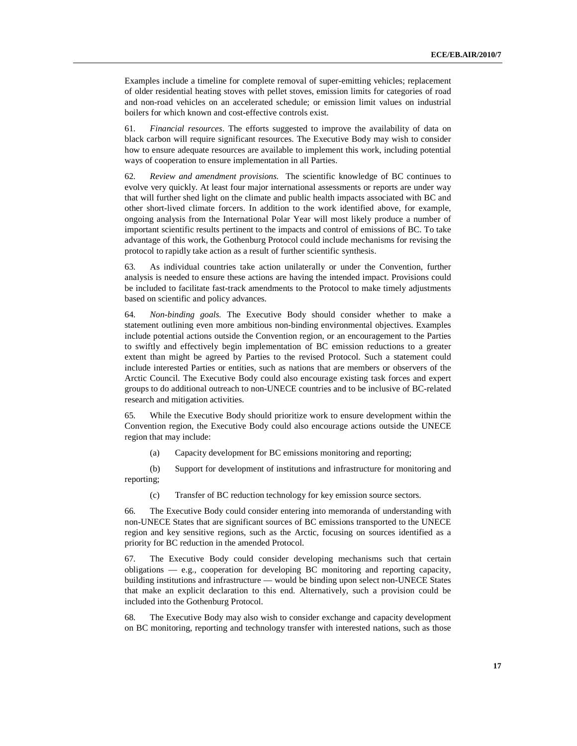Examples include a timeline for complete removal of super-emitting vehicles; replacement of older residential heating stoves with pellet stoves, emission limits for categories of road and non-road vehicles on an accelerated schedule; or emission limit values on industrial boilers for which known and cost-effective controls exist.

61. *Financial resources*. The efforts suggested to improve the availability of data on black carbon will require significant resources. The Executive Body may wish to consider how to ensure adequate resources are available to implement this work, including potential ways of cooperation to ensure implementation in all Parties.

62. *Review and amendment provisions.* The scientific knowledge of BC continues to evolve very quickly. At least four major international assessments or reports are under way that will further shed light on the climate and public health impacts associated with BC and other short-lived climate forcers. In addition to the work identified above, for example, ongoing analysis from the International Polar Year will most likely produce a number of important scientific results pertinent to the impacts and control of emissions of BC. To take advantage of this work, the Gothenburg Protocol could include mechanisms for revising the protocol to rapidly take action as a result of further scientific synthesis.

63. As individual countries take action unilaterally or under the Convention, further analysis is needed to ensure these actions are having the intended impact. Provisions could be included to facilitate fast-track amendments to the Protocol to make timely adjustments based on scientific and policy advances.

64. *Non-binding goals.* The Executive Body should consider whether to make a statement outlining even more ambitious non-binding environmental objectives. Examples include potential actions outside the Convention region, or an encouragement to the Parties to swiftly and effectively begin implementation of BC emission reductions to a greater extent than might be agreed by Parties to the revised Protocol. Such a statement could include interested Parties or entities, such as nations that are members or observers of the Arctic Council. The Executive Body could also encourage existing task forces and expert groups to do additional outreach to non-UNECE countries and to be inclusive of BC-related research and mitigation activities.

65. While the Executive Body should prioritize work to ensure development within the Convention region, the Executive Body could also encourage actions outside the UNECE region that may include:

(a) Capacity development for BC emissions monitoring and reporting;

(b) Support for development of institutions and infrastructure for monitoring and reporting;

(c) Transfer of BC reduction technology for key emission source sectors.

66. The Executive Body could consider entering into memoranda of understanding with non-UNECE States that are significant sources of BC emissions transported to the UNECE region and key sensitive regions, such as the Arctic, focusing on sources identified as a priority for BC reduction in the amended Protocol.

67. The Executive Body could consider developing mechanisms such that certain obligations — e.g., cooperation for developing BC monitoring and reporting capacity, building institutions and infrastructure — would be binding upon select non-UNECE States that make an explicit declaration to this end. Alternatively, such a provision could be included into the Gothenburg Protocol.

68. The Executive Body may also wish to consider exchange and capacity development on BC monitoring, reporting and technology transfer with interested nations, such as those